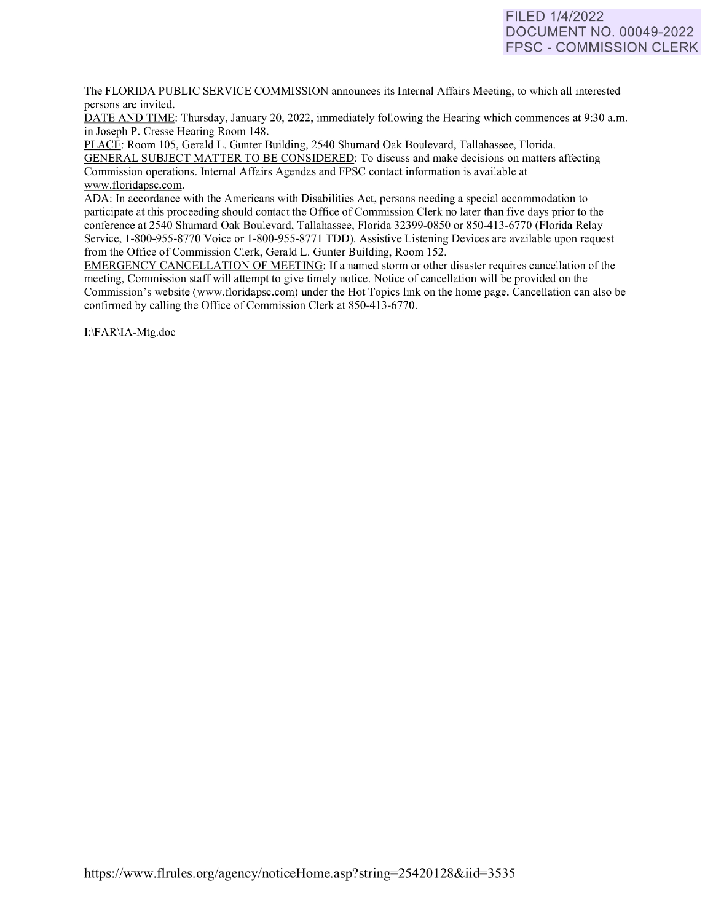# FILED 1/4/2022 DOCUMENT NO. 00049-2022 FPSC - COMMISSION CLERK

The FLORIDA PUBLIC SERVICE COMMISSION announces its Internal Affairs Meeting, to which all interested persons are invited.

DATE AND TIME: Thursday, January 20, 2022, immediately following the Hearing which commences at 9:30 a.m. in Joseph P. Cresse Hearing Room 148.

PLACE: Room 105, Gerald L. Gunter Building, 2540 Shumard Oak Boulevard, Tallahassee, Florida. GENERAL SUBJECT MATTER TO BE CONSIDERED: To discuss and make decisions on matters affecting Commission operations. Internal Affairs Agendas and FPSC contact information is available at [www.floridapsc.com.](http://www.floridapsc.com/) 

ADA: In accordance with the Americans with Disabilities Act, persons needing a special accommodation to participate at this proceeding should contact the Office of Commission Clerk no later than five days prior to the conference at 2540 Shumard Oak Boulevard, Tallahassee, Florida 32399-0850 or 850-413-6770 (Florida Relay Service, 1-800-955-8770 Voice or 1-800-955-8771 TDD). Assistive Listening Devices are available upon request from the Office of Commission Clerk, Gerald L. Gunter Building, Room 152.

EMERGENCY CANCELLATION OF MEETING: If a named storm or other disaster requires cancellation of the meeting, Commission staff will attempt to give timely notice. Notice of cancellation will be provided on the Commission's website [\(www.f](http://www/)loridapsc.com) under the Hot Topics link on the home page. Cancellation can also be confirmed by calling the Office of Commission Clerk at 850-413-6770.

1:\F AR\IA-Mtg.doc